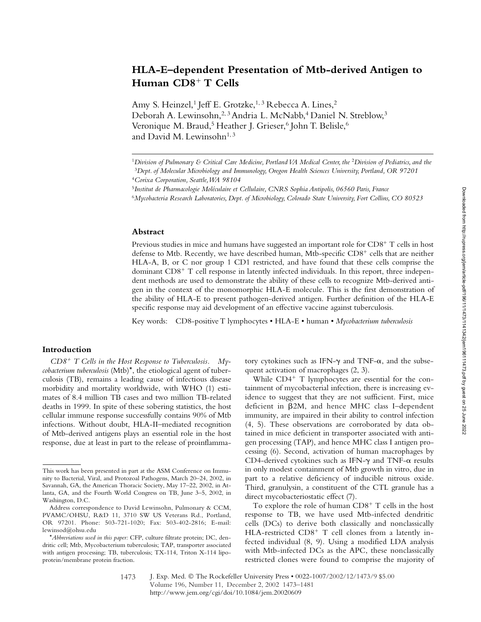# **HLA-E–dependent Presentation of Mtb-derived Antigen to Human CD8**- **T Cells**

Amy S. Heinzel,<sup>1</sup> Jeff E. Grotzke,<sup>1,3</sup> Rebecca A. Lines,<sup>2</sup> Deborah A. Lewinsohn,<sup>2, 3</sup> Andria L. McNabb,<sup>4</sup> Daniel N. Streblow,<sup>3</sup> Veronique M. Braud,<sup>5</sup> Heather J. Grieser,<sup>6</sup> John T. Belisle,<sup>6</sup> and David M. Lewinsohn<sup>1, 3</sup>

## **Abstract**

Previous studies in mice and humans have suggested an important role for  $CD8^+$  T cells in host defense to Mtb. Recently, we have described human, Mtb-specific CD8<sup>+</sup> cells that are neither HLA-A, B, or C nor group 1 CD1 restricted, and have found that these cells comprise the dominant CD8<sup>+</sup> T cell response in latently infected individuals. In this report, three independent methods are used to demonstrate the ability of these cells to recognize Mtb-derived antigen in the context of the monomorphic HLA-E molecule. This is the first demonstration of the ability of HLA-E to present pathogen-derived antigen. Further definition of the HLA-E specific response may aid development of an effective vaccine against tuberculosis.

Key words: CD8-positive T lymphocytes • HLA-E • human • *Mycobacterium tuberculosis*

## **Introduction**

*CD8*- *T Cells in the Host Response to Tuberculosis. Mycobacterium tuberculosis* (Mtb)\*, the etiological agent of tuberculosis (TB), remains a leading cause of infectious disease morbidity and mortality worldwide, with WHO (1) estimates of 8.4 million TB cases and two million TB-related deaths in 1999. In spite of these sobering statistics, the host cellular immune response successfully contains 90% of Mtb infections. Without doubt, HLA-II–mediated recognition of Mtb-derived antigens plays an essential role in the host response, due at least in part to the release of proinflammatory cytokines such as IFN- $\gamma$  and TNF- $\alpha$ , and the subsequent activation of macrophages (2, 3).

While CD4<sup>+</sup> T lymphocytes are essential for the containment of mycobacterial infection, there is increasing evidence to suggest that they are not sufficient. First, mice deficient in 2M, and hence MHC class I–dependent immunity, are impaired in their ability to control infection (4, 5). These observations are corroborated by data obtained in mice deficient in transporter associated with antigen processing (TAP), and hence MHC class I antigen processing (6). Second, activation of human macrophages by CD4-derived cytokines such as IFN- $\gamma$  and TNF- $\alpha$  results in only modest containment of Mtb growth in vitro, due in part to a relative deficiency of inducible nitrous oxide. Third, granulysin, a constituent of the CTL granule has a direct mycobacteriostatic effect (7).

To explore the role of human CD8<sup>+</sup> T cells in the host response to TB, we have used Mtb-infected dendritic cells (DCs) to derive both classically and nonclassically HLA-restricted CD8<sup>+</sup> T cell clones from a latently infected individual (8, 9). Using a modified LDA analysis with Mtb-infected DCs as the APC, these nonclassically restricted clones were found to comprise the majority of

<sup>&</sup>lt;sup>1</sup>Division of Pulmonary & Critical Care Medicine, Portland VA Medical Center, the <sup>2</sup>Division of Pediatrics, and the <sup>3</sup>*Dept. of Molecular Microbiology and Immunology, Oregon Health Sciences University, Portland, OR 97201* <sup>4</sup>*Corixa Corporation, Seattle, WA 98104*

<sup>5</sup>*Institut de Pharmacologie Moléculaire et Cellulaire, CNRS Sophia Antipolis, 06560 Paris, France*

<sup>6</sup>*Mycobacteria Research Laboratories, Dept. of Microbiology, Colorado State University, Fort Collins, CO 80523*

This work has been presented in part at the ASM Conference on Immunity to Bacterial, Viral, and Protozoal Pathogens, March 20–24, 2002, in Savannah, GA, the American Thoracic Society, May 17–22, 2002, in Atlanta, GA, and the Fourth World Congress on TB, June 3–5, 2002, in Washington, D.C.

Address correspondence to David Lewinsohn, Pulmonary & CCM, PVAMC/OHSU, R&D 11, 3710 SW US Veterans Rd., Portland, OR 97201. Phone: 503-721-1020; Fax: 503-402-2816; E-mail: lewinsod@ohsu.edu

<sup>\*</sup>*Abbreviations used in this paper:* CFP, culture filtrate protein; DC, dendritic cell; Mtb, Mycobacterium tuberculosis; TAP, transporter associated with antigen processing; TB, tuberculosis; TX-114, Triton X-114 lipoprotein/membrane protein fraction.

J. Exp. Med. © The Rockefeller University Press • 0022-1007/2002/12/1473/9 \$5.00 Volume 196, Number 11, December 2, 2002 1473–1481 http://www.jem.org/cgi/doi/10.1084/jem.20020609 1473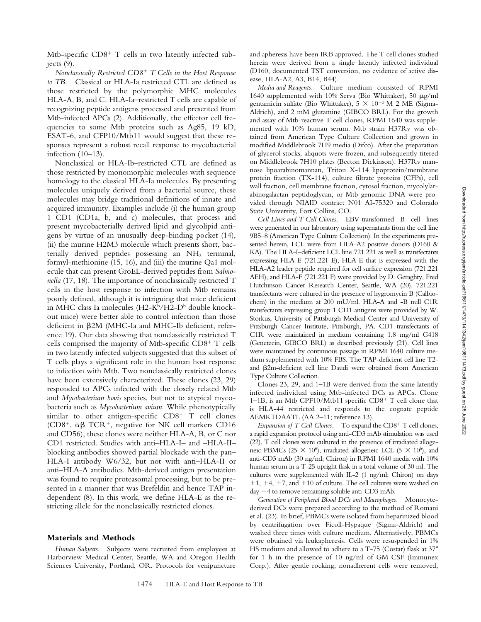Mtb-specific CD8<sup>+</sup> T cells in two latently infected subjects (9).

*Nonclassically Restricted CD8*- *T Cells in the Host Response to TB.* Classical or HLA-Ia restricted CTL are defined as those restricted by the polymorphic MHC molecules HLA-A, B, and C. HLA-Ia–restricted T cells are capable of recognizing peptide antigens processed and presented from Mtb-infected APCs (2). Additionally, the effector cell frequencies to some Mtb proteins such as Ag85, 19 kD, ESAT-6, and CFP10/Mtb11 would suggest that these responses represent a robust recall response to mycobacterial infection (10–13).

Nonclassical or HLA-Ib–restricted CTL are defined as those restricted by monomorphic molecules with sequence homology to the classical HLA-Ia molecules. By presenting molecules uniquely derived from a bacterial source, these molecules may bridge traditional definitions of innate and acquired immunity. Examples include (i) the human group 1 CD1 (CD1a, b, and c) molecules, that process and present mycobacterially derived lipid and glycolipid antigens by virtue of an unusually deep-binding pocket (14), (ii) the murine H2M3 molecule which presents short, bacterially derived peptides possessing an  $NH<sub>2</sub>$  terminal, formyl-methionine (15, 16), and (iii) the murine Qa1 molecule that can present GroEL-derived peptides from *Salmonella* (17, 18). The importance of nonclassically restricted T cells in the host response to infection with Mtb remains poorly defined, although it is intriguing that mice deficient in MHC class Ia molecules ( $H2-K^b/H2-D^b$  double knockout mice) were better able to control infection than those deficient in 2M (MHC-Ia and MHC-Ib deficient, reference 19). Our data showing that nonclassically restricted T cells comprised the majority of Mtb-specific CD8<sup>+</sup> T cells in two latently infected subjects suggested that this subset of T cells plays a significant role in the human host response to infection with Mtb. Two nonclassically restricted clones have been extensively characterized. These clones (23, 29) responded to APCs infected with the closely related Mtb and *Mycobacterium bovis* species, but not to atypical mycobacteria such as *Mycobacterium avium*. While phenotypically similar to other antigen-specific CD8<sup>+</sup> T cell clones (CD8<sup>+</sup>,  $\alpha\beta$  TCR<sup>+</sup>, negative for NK cell markers CD16 and CD56), these clones were neither HLA-A, B, or C nor CD1 restricted. Studies with anti–HLA-I– and –HLA-II– blocking antibodies showed partial blockade with the pan– HLA-I antibody W6/32, but not with anti–HLA-II or anti–HLA-A antibodies. Mtb-derived antigen presentation was found to require proteasomal processing, but to be presented in a manner that was Brefeldin and hence TAP independent (8). In this work, we define HLA-E as the restricting allele for the nonclassically restricted clones.

#### **Materials and Methods**

*Human Subjects.* Subjects were recruited from employees at Harborview Medical Center, Seattle, WA and Oregon Health Sciences University, Portland, OR. Protocols for venipuncture and apheresis have been IRB approved. The T cell clones studied herein were derived from a single latently infected individual (D160, documented TST conversion, no evidence of active disease, HLA-A2, A3, B14, B44).

*Media and Reagents.* Culture medium consisted of RPMI 1640 supplemented with 10% Serva (Bio Whittaker), 50  $\mu$ g/ml gentamicin sulfate (Bio Whittaker),  $5 \times 10^{-5}$  M 2 ME (Sigma-Aldrich), and 2 mM glutamine (GIBCO BRL). For the growth and assay of Mtb-reactive T cell clones, RPMI 1640 was supplemented with 10% human serum. Mtb strain H37Rv was obtained from American Type Culture Collection and grown in modified Middlebrook 7H9 media (Difco). After the preparation of glycerol stocks, aliquots were frozen, and subsequently titered on Middlebrook 7H10 plates (Becton Dickinson). H37Rv mannose lipoarabinomannan, Triton X-114 lipoprotein/membrane protein fraction (TX-114), culture filtrate proteins (CFPs), cell wall fraction, cell membrane fraction, cytosol fraction, mycolylarabinogalactan peptidoglycan, or Mtb genomic DNA were provided through NIAID contract N01 AI-75320 and Colorado State University, Fort Collins, CO.

*Cell Lines and T Cell Clones.* EBV-transformed B cell lines were generated in our laboratory using supernatants from the cell line 9B5–8 (American Type Culture Collection). In the experiments presented herein, LCL were from HLA-A2 positive donors (D160 & KA). The HLA-I–deficient LCL line 721.221 as well as transfectants expressing HLA-E (721.221 E), HLA-E that is expressed with the HLA-A2 leader peptide required for cell surface expression (721.221 AEH), and HLA-F (721.221 F) were provided by D. Geraghty, Fred Hutchinson Cancer Research Center, Seattle, WA (20). 721.221 transfectants were cultured in the presence of hygromycin B (Calbiochem) in the medium at 200 mU/ml. HLA-A and -B null C1R transfectants expressing group 1 CD1 antigens were provided by W. Storkus, University of Pittsburgh Medical Center and University of Pittsburgh Cancer Institute, Pittsburgh, PA. CD1 transfectants of C1R were maintained in medium containing 1.8 mg/ml G418 (Genetecin, GIBCO BRL) as described previously (21). Cell lines were maintained by continuous passage in RPMI 1640 culture medium supplemented with 10% FBS. The TAP-deficient cell line T2 and  $\beta$ 2m-deficient cell line Daudi were obtained from American Type Culture Collection.

Clones 23, 29, and 1–1B were derived from the same latently infected individual using Mtb-infected DCs as APCs. Clone 1-1B, is an Mtb CPF10/Mtb11 specific CD8<sup>+</sup> T cell clone that is HLA-44 restricted and responds to the cognate peptide AEMKTDAATL (AA 2–11; reference 13).

Expansion of T Cell Clones. To expand the CD8<sup>+</sup> T cell clones, a rapid expansion protocol using anti-CD3 mAb stimulation was used (22). T cell clones were cultured in the presence of irradiated allogeneic PBMCs (25  $\times$  10<sup>6</sup>), irradiated allogeneic LCL (5  $\times$  10<sup>6</sup>), and anti-CD3 mAb (30 ng/ml; Chiron) in RPMI 1640 media with 10% human serum in a T-25 upright flask in a total volume of 30 ml. The cultures were supplemented with IL-2 (1 ng/ml; Chiron) on days  $+1$ ,  $+4$ ,  $+7$ , and  $+10$  of culture. The cell cultures were washed on day +4 to remove remaining soluble anti-CD3 mAb.

*Generation of Peripheral Blood DCs and Macrophages.* Monocytederived DCs were prepared according to the method of Romani et al. (23). In brief, PBMCs were isolated from heparinized blood by centrifugation over Ficoll-Hypaque (Sigma-Aldrich) and washed three times with culture medium. Alternatively, PBMCs were obtained via leukapheresis. Cells were resuspended in 1% HS medium and allowed to adhere to a T-75 (Costar) flask at  $37^{\circ}$ for 1 h in the presence of 10 ng/ml of GM-CSF (Immunex Corp.). After gentle rocking, nonadherent cells were removed,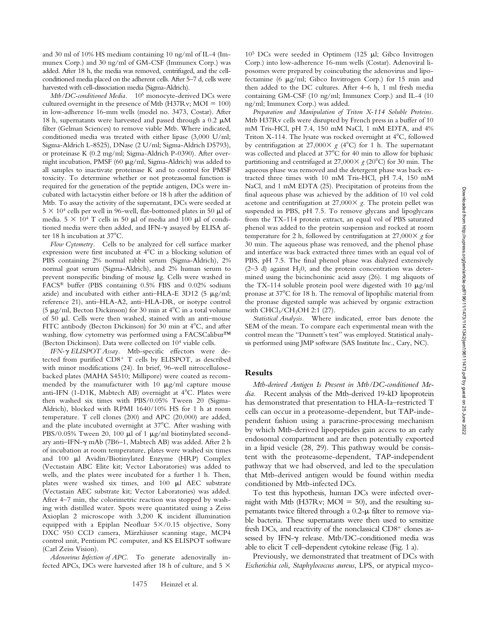and 30 ml of 10% HS medium containing 10 ng/ml of IL-4 (Immunex Corp.) and 30 ng/ml of GM-CSF (Immunex Corp.) was added. After 18 h, the media was removed, centrifuged, and the cellconditioned media placed on the adherent cells. After 5–7 d, cells were harvested with cell-dissociation media (Sigma-Aldrich).

*Mtb/DC-conditioned Media.* 106 monocyte-derived DCs were cultured overnight in the presence of Mtb (H37Rv;  $MOI = 100$ ) in low-adherence 16-mm wells (model no. 3473, Costar). After 18 h, supernatants were harvested and passed through a 0.2  $\mu$ M filter (Gelman Sciences) to remove viable Mtb. Where indicated, conditioned media was treated with either lipase (3,000 U/ml; Sigma-Aldrich L-8525), DNase (2 U/ml; Sigma-Aldrich D5793), or proteinase K (0.2 mg/ml; Sigma-Aldrich P-0390). After overnight incubation, PMSF (60  $\mu$ g/ml, Sigma-Aldrich) was added to all samples to inactivate proteinase K and to control for PMSF toxicity. To determine whether or not proteasomal function is required for the generation of the peptide antigen, DCs were incubated with lactacystin either before or 18 h after the addition of Mtb. To assay the activity of the supernatant, DCs were seeded at  $5 \times 10^4$  cells per well in 96-well, flat-bottomed plates in 50 µl of media.  $5 \times 10^4$  T cells in 50  $\mu$ l of media and 100  $\mu$ l of conditioned media were then added, and IFN- $\gamma$  assayed by ELISA after 18 h incubation at  $37^{\circ}$ C.

*Flow Cytometry.* Cells to be analyzed for cell surface marker expression were first incubated at  $4^{\circ}$ C in a blocking solution of PBS containing 2% normal rabbit serum (Sigma-Aldrich), 2% normal goat serum (Sigma-Aldrich), and 2% human serum to prevent nonspecific binding of mouse Ig. Cells were washed in FACS® buffer (PBS containing 0.5% FBS and 0.02% sodium azide) and incubated with either anti-HLA-E 3D12 (5  $\mu$ g/ml; reference 21), anti–HLA-A2, anti–HLA-DR, or isotype control (5  $\mu$ g/ml, Becton Dickinson) for 30 min at 4 $\rm ^{o}C$  in a total volume of 50  $\mu$ l. Cells were then washed, stained with an anti-mouse FITC antibody (Becton Dickinson) for 30 min at 4<sup>°</sup>C, and after washing, flow cytometry was performed using a FACSCalibur™ (Becton Dickinson). Data were collected on 104 viable cells.

*IFN- ELISPOT Assay.* Mtb-specific effectors were detected from purified CD8<sup>+</sup> T cells by ELISPOT, as described with minor modifications (24). In brief, 96-well nitrocellulosebacked plates (MAHA S4510; Millipore) were coated as recommended by the manufacturer with 10  $\mu$ g/ml capture mouse anti-IFN (1-D1K, Mabtech AB) overnight at  $4^{\circ}$ C. Plates were then washed six times with PBS/0.05% Tween 20 (Sigma-Aldrich), blocked with RPMI 1640/10% HS for 1 h at room temperature. T cell clones (200) and APC (20,000) are added, and the plate incubated overnight at 37°C. After washing with PBS/0.05% Tween 20, 100  $\mu$ l of 1  $\mu$ g/ml biotinylated secondary anti-IFN- $\gamma$  mAb (7B6–1, Mabtech AB) was added. After 2 h of incubation at room temperature, plates were washed six times and  $100$   $\mu$ l Avidin/Biotinylated Enzyme (HRP) Complex (Vectastain ABC Elite kit; Vector Laboratories) was added to wells, and the plates were incubated for a further 1 h. Then, plates were washed six times, and  $100$   $\mu$ l AEC substrate (Vectastain AEC substrate kit; Vector Laboratories) was added. After 4–7 min, the colorimetric reaction was stopped by washing with distilled water. Spots were quantitated using a Zeiss Axioplan 2 microscope with 3,200 K incident illumination equipped with a Epiplan Neofluar  $5 \times 0.15$  objective, Sony DXC 950 CCD camera, Märzhäuser scanning stage, MCP4 control unit, Pentium PC computer, and KS ELISPOT software (Carl Zeiss Vision).

*Adenovirus Infection of APC.* To generate adenovirally infected APCs, DCs were harvested after 18 h of culture, and 5  $\times$ 

 $10^5$  DCs were seeded in Optimem (125  $\mu$ l; Gibco Invitrogen Corp.) into low-adherence 16-mm wells (Costar). Adenoviral liposomes were prepared by coincubating the adenovirus and lipofectamine (6  $\mu$ g/ml; Gibco Invitrogen Corp.) for 15 min and then added to the DC cultures. After 4–6 h, 1 ml fresh media containing GM-CSF (10 ng/ml; Immunex Corp.) and IL-4 (10 ng/ml; Immunex Corp.) was added.

*Preparation and Manipulation of Triton X-114 Soluble Proteins.* Mtb H37Rv cells were disrupted by French press in a buffer of 10 mM Tris-HCl, pH 7.4, 150 mM NaCl, 1 mM EDTA, and 4% Triton X-114. The lysate was rocked overnight at 4°C, followed by centrifugation at 27,000 $\times$  g (4<sup>o</sup>C) for 1 h. The supernatant was collected and placed at 37°C for 40 min to allow for biphasic partitioning and centrifuged at  $27,000 \times g$  (20<sup>o</sup>C) for 30 min. The aqueous phase was removed and the detergent phase was back extracted three times with 10 mM Tris-HCl, pH 7.4, 150 mM NaCl, and 1 mM EDTA (25). Precipitation of proteins from the final aqueous phase was achieved by the addition of 10 vol cold acetone and centrifugation at  $27,000 \times g$ . The protein pellet was suspended in PBS, pH 7.5. To remove glycans and lipoglycans from the TX-114 protein extract, an equal vol of PBS saturated phenol was added to the protein suspension and rocked at room temperature for 2 h, followed by centrifugation at  $27,000 \times g$  for 30 min. The aqueous phase was removed, and the phenol phase and interface was back extracted three times with an equal vol of PBS, pH 7.5. The final phenol phase was dialyzed extensively  $(2-3$  d) against H<sub>2</sub>0, and the protein concentration was determined using the bicinchoninic acid assay (26). 1 mg aliquots of the TX-114 soluble protein pool were digested with 10  $\mu$ g/ml pronase at 37 C for 18 h. The removal of lipophilic material from the pronase digested sample was achieved by organic extraction with CHCl<sub>3</sub>/CH<sub>3</sub>OH 2:1 (27).

*Statistical Analysis.* Where indicated, error bars denote the SEM of the mean. To compare each experimental mean with the control mean the "Dunnett's test" was employed. Statistical analysis performed using JMP software (SAS Institute Inc., Cary, NC).

#### **Results**

*Mtb-derived Antigen Is Present in Mtb/DC-conditioned Media.* Recent analysis of the Mtb-derived 19-kD lipoprotein has demonstrated that presentation to HLA-Ia–restricted T cells can occur in a proteasome-dependent, but TAP-independent fashion using a paracrine-processing mechanism by which Mtb-derived lipopeptides gain access to an early endosomal compartment and are then potentially exported in a lipid vesicle (28, 29). This pathway would be consistent with the proteasome-dependent, TAP-independent pathway that we had observed, and led to the speculation that Mtb-derived antigen would be found within media conditioned by Mtb-infected DCs.

To test this hypothesis, human DCs were infected overnight with Mtb (H37Rv; MOI 50), and the resulting supernatants twice filtered through a  $0.2$ - $\mu$  filter to remove viable bacteria. These supernatants were then used to sensitize fresh DCs, and reactivity of the nonclassical CD8<sup>+</sup> clones assessed by IFN- $\gamma$  release. Mtb/DC-conditioned media was able to elicit T cell–dependent cytokine release (Fig. 1 a).

Previously, we demonstrated that treatment of DCs with *Escherichia coli*, *Staphylococcus aureus*, LPS, or atypical myco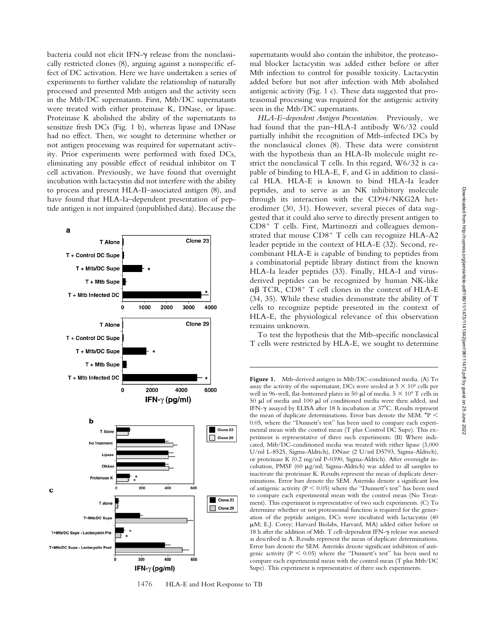bacteria could not elicit IFN- $\gamma$  release from the nonclassically restricted clones (8), arguing against a nonspecific effect of DC activation. Here we have undertaken a series of experiments to further validate the relationship of naturally processed and presented Mtb antigen and the activity seen in the Mtb/DC supernatants. First, Mtb/DC supernatants were treated with either proteinase K, DNase, or lipase. Proteinase K abolished the ability of the supernatants to sensitize fresh DCs (Fig. 1 b), whereas lipase and DNase had no effect. Then, we sought to determine whether or not antigen processing was required for supernatant activity. Prior experiments were performed with fixed DCs, eliminating any possible effect of residual inhibitor on T cell activation. Previously, we have found that overnight incubation with lactacystin did not interfere with the ability to process and present HLA-II–associated antigen (8), and have found that HLA-Ia–dependent presentation of peptide antigen is not impaired (unpublished data). Because the



1476 HLA-E and Host Response to TB

supernatants would also contain the inhibitor, the proteasomal blocker lactacystin was added either before or after Mtb infection to control for possible toxicity. Lactacystin added before but not after infection with Mtb abolished antigenic activity (Fig. 1 c). These data suggested that proteasomal processing was required for the antigenic activity seen in the Mtb/DC supernatants.

*HLA-E–dependent Antigen Presentation.* Previously, we had found that the pan–HLA-I antibody W6/32 could partially inhibit the recognition of Mtb-infected DCs by the nonclassical clones (8). These data were consistent with the hypothesis than an HLA-Ib molecule might restrict the nonclassical T cells. In this regard, W6/32 is capable of binding to HLA-E, F, and G in addition to classical HLA. HLA-E is known to bind HLA-Ia leader peptides, and to serve as an NK inhibitory molecule through its interaction with the CD94/NKG2A heterodimer (30, 31). However, several pieces of data suggested that it could also serve to directly present antigen to CD8<sup>+</sup> T cells. First, Martinozzi and colleagues demonstrated that mouse CD8<sup>+</sup> T cells can recognize HLA-A2 leader peptide in the context of HLA-E (32). Second, recombinant HLA-E is capable of binding to peptides from a combinatorial peptide library distinct from the known HLA-Ia leader peptides (33). Finally, HLA-I and virusderived peptides can be recognized by human NK-like  $\alpha\beta$  TCR, CD8<sup>+</sup> T cell clones in the context of HLA-E (34, 35). While these studies demonstrate the ability of T cells to recognize peptide presented in the context of HLA-E, the physiological relevance of this observation remains unknown.

To test the hypothesis that the Mtb-specific nonclassical T cells were restricted by HLA-E, we sought to determine

**Figure 1.** Mtb-derived antigen in Mtb/DC-conditioned media. (A) To assay the activity of the supernatant, DCs were seeded at  $5 \times 10^4$  cells per well in 96-well, flat-bottomed plates in 50  $\mu$ l of media. 5  $\times$  10<sup>4</sup> T cells in 50  $\mu$ l of media and 100  $\mu$ l of conditioned media were then added, and IFN- $\gamma$  assayed by ELISA after 18 h incubation at 37 $\degree$ C. Results represent the mean of duplicate determinations. Error bars denote the SEM.  $*P$  < 0.05, where the "Dunnett's test" has been used to compare each experimental mean with the control mean (T plus Control DC Supe). This experiment is representative of three such experiments. (B) Where indicated, Mtb/DC-conditioned media was treated with either lipase (3,000 U/ml L-8525, Sigma-Aldrich), DNase (2 U/ml D5793, Sigma-Aldrich), or proteinase K (0.2 mg/ml P-0390, Sigma-Aldrich). After overnight incubation, PMSF (60  $\mu$ g/ml; Sigma-Aldrich) was added to all samples to inactivate the proteinase K. Results represent the mean of duplicate determinations. Error bars denote the SEM. Asterisks denote a significant loss of antigenic activity ( $P < 0.05$ ) where the "Dunnett's test" has been used to compare each experimental mean with the control mean (No Treatment). This experiment is representative of two such experiments. (C) To determine whether or not proteasomal function is required for the generation of the peptide antigen, DCs were incubated with lactacystin (40 M; E.J. Corey; Harvard Biolabs, Harvard, MA) added either before or 18 h after the addition of Mtb. T cell-dependent IFN- $\gamma$  release was assessed as described in A. Results represent the mean of duplicate determinations. Error bars denote the SEM. Asterisks denote significant inhibition of antigenic activity ( $P < 0.05$ ) where the "Dunnett's test" has been used to compare each experimental mean with the control mean (T plus Mtb/DC Supe). This experiment is representative of three such experiments.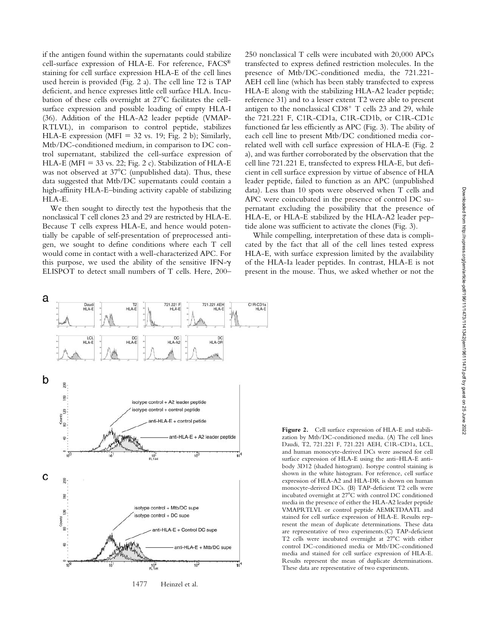if the antigen found within the supernatants could stabilize cell-surface expression of HLA-E. For reference, FACS® staining for cell surface expression HLA-E of the cell lines used herein is provided (Fig. 2 a). The cell line T2 is TAP deficient, and hence expresses little cell surface HLA. Incubation of these cells overnight at 27°C facilitates the cellsurface expression and possible loading of empty HLA-I (36). Addition of the HLA-A2 leader peptide (VMAP-RTLVL), in comparison to control peptide, stabilizes HLA-E expression (MFI 32 vs. 19; Fig. 2 b); Similarly, Mtb/DC-conditioned medium, in comparison to DC control supernatant, stabilized the cell-surface expression of HLA-E (MFI = 33 vs. 22; Fig. 2 c). Stabilization of HLA-E was not observed at 37°C (unpublished data). Thus, these data suggested that Mtb/DC supernatants could contain a high-affinity HLA-E–binding activity capable of stabilizing HLA-E.

We then sought to directly test the hypothesis that the nonclassical T cell clones 23 and 29 are restricted by HLA-E. Because T cells express HLA-E, and hence would potentially be capable of self-presentation of preprocessed antigen, we sought to define conditions where each T cell would come in contact with a well-characterized APC. For this purpose, we used the ability of the sensitive IFN- $\gamma$ ELISPOT to detect small numbers of T cells. Here, 200–

250 nonclassical T cells were incubated with 20,000 APCs transfected to express defined restriction molecules. In the presence of Mtb/DC-conditioned media, the 721.221- AEH cell line (which has been stably transfected to express HLA-E along with the stabilizing HLA-A2 leader peptide; reference 31) and to a lesser extent T2 were able to present antigen to the nonclassical CD8<sup>+</sup> T cells 23 and 29, while the 721.221 F, C1R-CD1a, C1R-CD1b, or C1R-CD1c functioned far less efficiently as APC (Fig. 3). The ability of each cell line to present Mtb/DC conditioned media correlated well with cell surface expression of HLA-E (Fig. 2 a), and was further corroborated by the observation that the cell line 721.221 E, transfected to express HLA-E, but deficient in cell surface expression by virtue of absence of HLA leader peptide, failed to function as an APC (unpublished data). Less than 10 spots were observed when T cells and APC were coincubated in the presence of control DC supernatant excluding the possibility that the presence of HLA-E, or HLA-E stabilized by the HLA-A2 leader peptide alone was sufficient to activate the clones (Fig. 3).

While compelling, interpretation of these data is complicated by the fact that all of the cell lines tested express HLA-E, with surface expression limited by the availability of the HLA-Ia leader peptides. In contrast, HLA-E is not present in the mouse. Thus, we asked whether or not the



1477 Heinzel et al.

**Figure 2.** Cell surface expression of HLA-E and stabilization by Mtb/DC-conditioned media. (A) The cell lines Daudi, T2, 721.221 F, 721.221 AEH, C1R-CD1a, LCL, and human monocyte-derived DCs were assessed for cell surface expression of HLA-E using the anti–HLA-E antibody 3D12 (shaded histogram). Isotype control staining is shown in the white histogram. For reference, cell surface expression of HLA-A2 and HLA-DR is shown on human monocyte-derived DCs. (B) TAP-deficient T2 cells were incubated overnight at 27°C with control DC conditioned media in the presence of either the HLA-A2 leader peptide VMAPRTLVL or control peptide AEMKTDAATL and stained for cell surface expression of HLA-E. Results represent the mean of duplicate determinations. These data are representative of two experiments.(C) TAP-deficient T2 cells were incubated overnight at 27°C with either control DC-conditioned media or Mtb/DC-conditioned media and stained for cell surface expression of HLA-E. Results represent the mean of duplicate determinations. These data are representative of two experiments.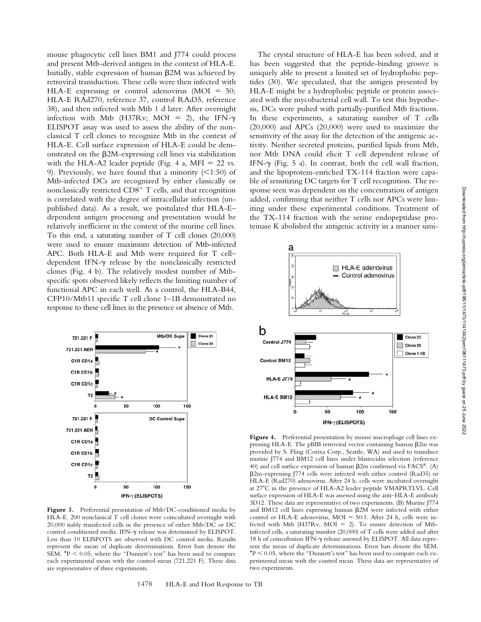mouse phagocytic cell lines BM1 and J774 could process and present Mtb-derived antigen in the context of HLA-E. Initially, stable expression of human  $\beta$ 2M was achieved by retroviral transduction. These cells were then infected with HLA-E expressing or control adenovirus ( $MOI = 50$ ; HLA-E RAd270, reference 37, control RAd35, reference 38), and then infected with Mtb 1 d later. After overnight infection with Mtb (H37Rv; MOI = 2), the IFN- $\gamma$ ELISPOT assay was used to assess the ability of the nonclassical T cell clones to recognize Mtb in the context of HLA-E. Cell surface expression of HLA-E could be demonstrated on the 2M-expressing cell lines via stabilization with the HLA-A2 leader peptide (Fig. 4 a, MFI  $= 22$  vs. 9). Previously, we have found that a minority  $(1:50)$  of Mtb-infected DCs are recognized by either classically or nonclassically restricted CD8<sup>+</sup> T cells, and that recognition is correlated with the degree of intracellular infection (unpublished data). As a result, we postulated that HLA-E– dependent antigen processing and presentation would be relatively inefficient in the context of the murine cell lines. To this end, a saturating number of T cell clones (20,000) were used to ensure maximum detection of Mtb-infected APC. Both HLA-E and Mtb were required for T cell– dependent IFN- $\gamma$  release by the nonclassically restricted clones (Fig. 4 b). The relatively modest number of Mtbspecific spots observed likely reflects the limiting number of functional APC in each well. As a control, the HLA-B44, CFP10/Mtb11 specific T cell clone 1–1B demonstrated no response to these cell lines in the presence or absence of Mtb.



Figure 3. Preferential presentation of Mtb/DC-conditioned media by HLA-E. 200 nonclassical T cell clones were coincubated overnight with 20,000 stably transfected cells in the presence of either Mtb/DC or DC control conditioned media. IFN- $\gamma$  release was determined by ELISPOT. Less than 10 ELISPOTS are observed with DC control media. Results represent the mean of duplicate determinations. Error bars denote the SEM.  $*P < 0.05$ , where the "Dunnett's test" has been used to compare each experimental mean with the control mean (721.221 F). These data are representative of three experiments.

The crystal structure of HLA-E has been solved, and it has been suggested that the peptide-binding groove is uniquely able to present a limited set of hydrophobic peptides (30). We speculated, that the antigen presented by HLA-E might be a hydrophobic peptide or protein associated with the mycobacterial cell wall. To test this hypothesis, DCs were pulsed with partially-purified Mtb fractions. In these experiments, a saturating number of T cells (20,000) and APCs (20,000) were used to maximize the sensitivity of the assay for the detection of the antigenic activity. Neither secreted proteins, purified lipids from Mtb, nor Mtb DNA could elicit T cell dependent release of IFN- $\gamma$  (Fig. 5 a). In contrast, both the cell wall fraction, and the lipoprotein-enriched TX-114 fraction were capable of sensitizing DC targets for T cell recognition. The response seen was dependent on the concentration of antigen added, confirming that neither T cells nor APCs were limiting under these experimental conditions. Treatment of the TX-114 fraction with the serine endopeptidase proteinase K abolished the antigenic activity in a manner simi-



Figure 4. Preferential presentation by mouse macrophage cell lines expressing HLA-E. The pBIB retroviral vector containing human  $\beta$ 2m was provided by S. Fling (Corixa Corp., Seattle, WA) and used to transduce murine J774 and BM12 cell lines under blastocidin selection (reference 40) and cell surface expression of human  $\beta$ 2m confirmed via  $FACS^{\circledast}$ . (A) 2m-expressing J774 cells were infected with either control (Rad35) or HLA-E (Rad270) adenovirus. After 24 h, cells were incubated overnight at 27°C in the presence of HLA-A2 leader peptide VMAPRTLVL. Cell surface expression of HLA-E was assessed using the anti–HLA-E antibody 3D12. These data are representative of two experiments. (B) Murine J774 and BM12 cell lines expressing human  $\beta$ 2M were infected with either control or HLA-E adenovirus, MOI = 50:1. After 24 h, cells were infected with Mtb (H37Rv, MOI = 2). To ensure detection of Mtbinfected cells, a saturating number (20,000) of T cells were added and after 18 h of coincubation IFN- $\gamma$  release assessed by ELISPOT. All data represent the mean of duplicate determinations. Error bars denote the SEM.  $*P < 0.05$ , where the "Dunnett's test" has been used to compare each experimental mean with the control mean. These data are representative of two experiments.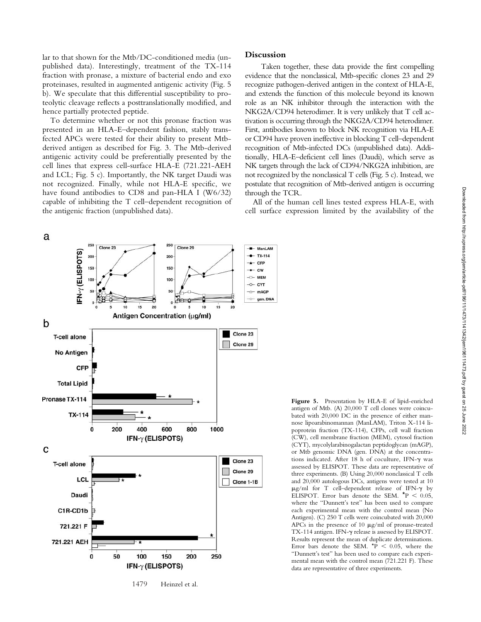lar to that shown for the Mtb/DC-conditioned media (unpublished data). Interestingly, treatment of the TX-114 fraction with pronase, a mixture of bacterial endo and exo proteinases, resulted in augmented antigenic activity (Fig. 5 b). We speculate that this differential susceptibility to proteolytic cleavage reflects a posttranslationally modified, and hence partially protected peptide.

To determine whether or not this pronase fraction was presented in an HLA-E–dependent fashion, stably transfected APCs were tested for their ability to present Mtbderived antigen as described for Fig. 3. The Mtb-derived antigenic activity could be preferentially presented by the cell lines that express cell-surface HLA-E (721.221-AEH and LCL; Fig. 5 c). Importantly, the NK target Daudi was not recognized. Finally, while not HLA-E specific, we have found antibodies to CD8 and pan-HLA I (W6/32) capable of inhibiting the T cell–dependent recognition of the antigenic fraction (unpublished data).

## **Discussion**

Taken together, these data provide the first compelling evidence that the nonclassical, Mtb-specific clones 23 and 29 recognize pathogen-derived antigen in the context of HLA-E, and extends the function of this molecule beyond its known role as an NK inhibitor through the interaction with the NKG2A/CD94 heterodimer. It is very unlikely that T cell activation is occurring through the NKG2A/CD94 heterodimer. First, antibodies known to block NK recognition via HLA-E or CD94 have proven ineffective in blocking T cell–dependent recognition of Mtb-infected DCs (unpublished data). Additionally, HLA-E–deficient cell lines (Daudi), which serve as NK targets through the lack of CD94/NKG2A inhibition, are not recognized by the nonclassical T cells (Fig. 5 c). Instead, we postulate that recognition of Mtb-derived antigen is occurring through the TCR.

All of the human cell lines tested express HLA-E, with cell surface expression limited by the availability of the



**Figure 5.** Presentation by HLA-E of lipid-enriched antigen of Mtb. (A) 20,000 T cell clones were coincubated with 20,000 DC in the presence of either mannose lipoarabinomannan (ManLAM), Triton X-114 lipoprotein fraction (TX-114), CFPs, cell wall fraction (CW), cell membrane fraction (MEM), cytosol fraction (CYT), mycolylarabinogalactan peptidoglycan (mAGP), or Mtb genomic DNA (gen. DNA) at the concentrations indicated. After 18 h of coculture, IFN- $\gamma$  was assessed by ELISPOT. These data are representative of three experiments. (B) Using 20,000 nonclassical T cells and 20,000 autologous DCs, antigens were tested at 10  $\mu$ g/ml for T cell-dependent release of IFN- $\gamma$  by ELISPOT. Error bars denote the SEM.  $*P < 0.05$ , where the "Dunnett's test" has been used to compare each experimental mean with the control mean (No Antigen). (C) 250 T cells were coincubated with 20,000 APCs in the presence of 10  $\mu$ g/ml of pronase-treated TX-114 antigen. IFN- $\gamma$  release is assessed by ELISPOT. Results represent the mean of duplicate determinations. Error bars denote the SEM.  $\star \vec{P}$  < 0.05, where the "Dunnett's test" has been used to compare each experimental mean with the control mean (721.221 F). These data are representative of three experiments.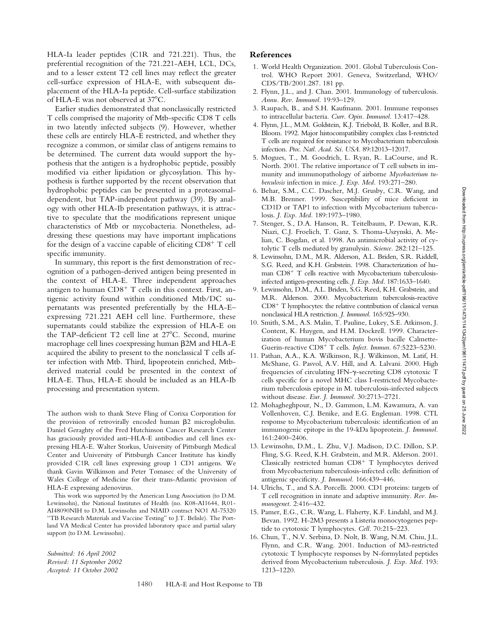HLA-Ia leader peptides (C1R and 721.221). Thus, the preferential recognition of the 721.221-AEH, LCL, DCs, and to a lesser extent T2 cell lines may reflect the greater cell-surface expression of HLA-E, with subsequent displacement of the HLA-Ia peptide. Cell-surface stabilization of HLA-E was not observed at 37°C.

Earlier studies demonstrated that nonclassically restricted T cells comprised the majority of Mtb-specific CD8 T cells in two latently infected subjects (9). However, whether these cells are entirely HLA-E restricted, and whether they recognize a common, or similar class of antigens remains to be determined. The current data would support the hypothesis that the antigen is a hydrophobic peptide, possibly modified via either lipidation or glycosylation. This hypothesis is further supported by the recent observation that hydrophobic peptides can be presented in a proteasomaldependent, but TAP-independent pathway (39). By analogy with other HLA-Ib presentation pathways, it is attractive to speculate that the modifications represent unique characteristics of Mtb or mycobacteria. Nonetheless, addressing these questions may have important implications for the design of a vaccine capable of eliciting CD8<sup>+</sup> T cell specific immunity.

In summary, this report is the first demonstration of recognition of a pathogen-derived antigen being presented in the context of HLA-E. Three independent approaches antigen to human CD8<sup>+</sup> T cells in this context. First, antigenic activity found within conditioned Mtb/DC supernatants was presented preferentially by the HLA-E– expressing 721.221 AEH cell line. Furthermore, these supernatants could stabilize the expression of HLA-E on the TAP-deficient T2 cell line at  $27^{\circ}$ C. Second, murine macrophage cell lines coexpressing human  $\beta$ 2M and HLA-E acquired the ability to present to the nonclassical T cells after infection with Mtb. Third, lipoprotein enriched, Mtbderived material could be presented in the context of HLA-E. Thus, HLA-E should be included as an HLA-Ib processing and presentation system.

The authors wish to thank Steve Fling of Corixa Corporation for the provision of retrovirally encoded human  $\beta$ 2 microglobulin. Daniel Geraghty of the Fred Hutchinson Cancer Research Center has graciously provided anti–HLA-E antibodies and cell lines expressing HLA-E. Walter Storkus, University of Pittsburgh Medical Center and University of Pittsburgh Cancer Institute has kindly provided C1R cell lines expressing group 1 CD1 antigens. We thank Gavin Wilkinson and Peter Tomasec of the University of Wales College of Medicine for their trans-Atlantic provision of HLA-E expressing adenovirus.

This work was supported by the American Lung Association (to D.M. Lewinsohn), the National Institutes of Health (no. K08-AI1644, R01- AI48090NIH to D.M. Lewinsohn and NIAID contract NO1 AI-75320 "TB Research Materials and Vaccine Testing" to J.T. Belisle). The Portland VA Medical Center has provided laboratory space and partial salary support (to D.M. Lewinsohn).

*Submitted: 16 April 2002 Revised: 11 September 2002 Accepted: 11 October 2002*

# **References**

- 1. World Health Organization. 2001. Global Tuberculosis Control. WHO Report 2001. Geneva, Switzerland, WHO/ CDS/TB/2001.287. 181 pp.
- 2. Flynn, J.L., and J. Chan. 2001. Immunology of tuberculosis. *Annu. Rev. Immunol.* 19:93–129.
- 3. Raupach, B., and S.H. Kaufmann. 2001. Immune responses to intracellular bacteria. *Curr. Opin. Immunol.* 13:417–428.
- 4. Flynn, J.L., M.M. Goldstein, K.J. Triebold, B. Koller, and B.R. Bloom. 1992. Major histocompatibility complex class I-restricted T cells are required for resistance to Mycobacterium tuberculosis infection. *Proc. Natl. Acad. Sci. USA.* 89:12013–12017.
- 5. Mogues, T., M. Goodrich, L. Ryan, R. LaCourse, and R. North. 2001. The relative importance of T cell subsets in immunity and immunopathology of airborne *Mycobacterium tuberculosis* infection in mice. *J. Exp. Med.* 193:271–280.
- 6. Behar, S.M., C.C. Dascher, M.J. Grusby, C.R. Wang, and M.B. Brenner. 1999. Susceptibility of mice deficient in CD1D or TAP1 to infection with Mycobacterium tuberculosis. *J. Exp. Med.* 189:1973–1980.
- 7. Stenger, S., D.A. Hanson, R. Teitelbaum, P. Dewan, K.R. Niazi, C.J. Froelich, T. Ganz, S. Thoma-Uszynski, A. Melian, C. Bogdan, et al. 1998. An antimicrobial activity of cytolytic T cells mediated by granulysin. *Science.* 282:121–125.
- 8. Lewinsohn, D.M., M.R. Alderson, A.L. Briden, S.R. Riddell, S.G. Reed, and K.H. Grabstein. 1998. Characterization of human CD8<sup>+</sup> T cells reactive with Mycobacterium tuberculosisinfected antigen-presenting cells. *J. Exp. Med.* 187:1633–1640.
- 9. Lewinsohn, D.M., A.L. Briden, S.G. Reed, K.H. Grabstein, and M.R. Alderson. 2000. Mycobacterium tuberculosis-reactive CD8- T lymphocytes: the relative contribution of classical versus nonclassical HLA restriction. *J. Immunol.* 165:925–930.
- 10. Smith, S.M., A.S. Malin, T. Pauline, Lukey, S.E. Atkinson, J. Content, K. Huygen, and H.M. Dockrell. 1999. Characterization of human Mycobacterium bovis bacille Calmette-Guerin-reactive CD8<sup>+</sup> T cells. Infect. Immun. 67:5223-5230.
- 11. Pathan, A.A., K.A. Wilkinson, R.J. Wilkinson, M. Latif, H. McShane, G. Pasvol, A.V. Hill, and A. Lalvani. 2000. High frequencies of circulating IFN- $\gamma$ -secreting CD8 cytotoxic T cells specific for a novel MHC class I-restricted Mycobacterium tuberculosis epitope in M. tuberculosis-infected subjects without disease. *Eur. J. Immunol.* 30:2713–2721.
- 12. Mohagheghpour, N., D. Gammon, L.M. Kawamura, A. van Vollenhoven, C.J. Benike, and E.G. Engleman. 1998. CTL response to Mycobacterium tuberculosis: identification of an immunogenic epitope in the 19-kDa lipoprotein. *J. Immunol.* 161:2400–2406.
- 13. Lewinsohn, D.M., L. Zhu, V.J. Madison, D.C. Dillon, S.P. Fling, S.G. Reed, K.H. Grabstein, and M.R. Alderson. 2001. Classically restricted human CD8<sup>+</sup> T lymphocytes derived from Mycobacterium tuberculosis-infected cells: definition of antigenic specificity. *J. Immunol.* 166:439–446.
- 14. Ulrichs, T., and S.A. Porcelli. 2000. CD1 proteins: targets of T cell recognition in innate and adaptive immunity. *Rev. Immunogenet.* 2:416–432.
- 15. Pamer, E.G., C.R. Wang, L. Flaherty, K.F. Lindahl, and M.J. Bevan. 1992. H-2M3 presents a Listeria monocytogenes peptide to cytotoxic T lymphocytes. *Cell.* 70:215–223.
- 16. Chun, T., N.V. Serbina, D. Nolt, B. Wang, N.M. Chiu, J.L. Flynn, and C.R. Wang. 2001. Induction of M3-restricted cytotoxic T lymphocyte responses by N-formylated peptides derived from Mycobacterium tuberculosis. *J. Exp. Med.* 193: 1213–1220.